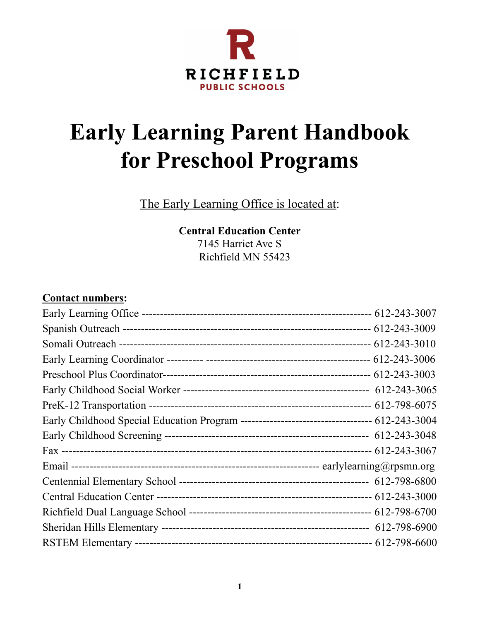

# **Early Learning Parent Handbook for Preschool Programs**

The Early Learning Office is located at:

**Central Education Center** 7145 Harriet Ave S Richfield MN 55423

### **Contact numbers:**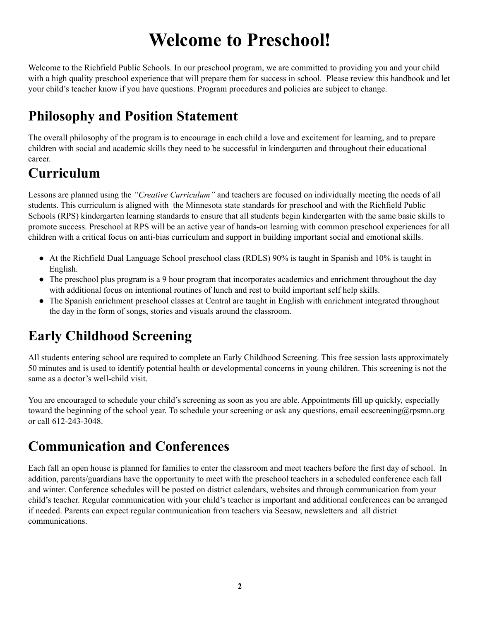# **Welcome to Preschool!**

Welcome to the Richfield Public Schools. In our preschool program, we are committed to providing you and your child with a high quality preschool experience that will prepare them for success in school. Please review this handbook and let your child's teacher know if you have questions. Program procedures and policies are subject to change.

# **Philosophy and Position Statement**

The overall philosophy of the program is to encourage in each child a love and excitement for learning, and to prepare children with social and academic skills they need to be successful in kindergarten and throughout their educational career.

### **Curriculum**

Lessons are planned using the *"Creative Curriculum"* and teachers are focused on individually meeting the needs of all students. This curriculum is aligned with the Minnesota state standards for preschool and with the Richfield Public Schools (RPS) kindergarten learning standards to ensure that all students begin kindergarten with the same basic skills to promote success. Preschool at RPS will be an active year of hands-on learning with common preschool experiences for all children with a critical focus on anti-bias curriculum and support in building important social and emotional skills.

- At the Richfield Dual Language School preschool class (RDLS) 90% is taught in Spanish and 10% is taught in English.
- The preschool plus program is a 9 hour program that incorporates academics and enrichment throughout the day with additional focus on intentional routines of lunch and rest to build important self help skills.
- The Spanish enrichment preschool classes at Central are taught in English with enrichment integrated throughout the day in the form of songs, stories and visuals around the classroom.

# **Early Childhood Screening**

All students entering school are required to complete an Early Childhood Screening. This free session lasts approximately 50 minutes and is used to identify potential health or developmental concerns in young children. This screening is not the same as a doctor's well-child visit.

You are encouraged to schedule your child's screening as soon as you are able. Appointments fill up quickly, especially toward the beginning of the school year. To schedule your screening or ask any questions, email ecscreening@rpsmn.org or call 612-243-3048.

# **Communication and Conferences**

Each fall an open house is planned for families to enter the classroom and meet teachers before the first day of school. In addition, parents/guardians have the opportunity to meet with the preschool teachers in a scheduled conference each fall and winter. Conference schedules will be posted on district calendars, websites and through communication from your child's teacher. Regular communication with your child's teacher is important and additional conferences can be arranged if needed. Parents can expect regular communication from teachers via Seesaw, newsletters and all district communications.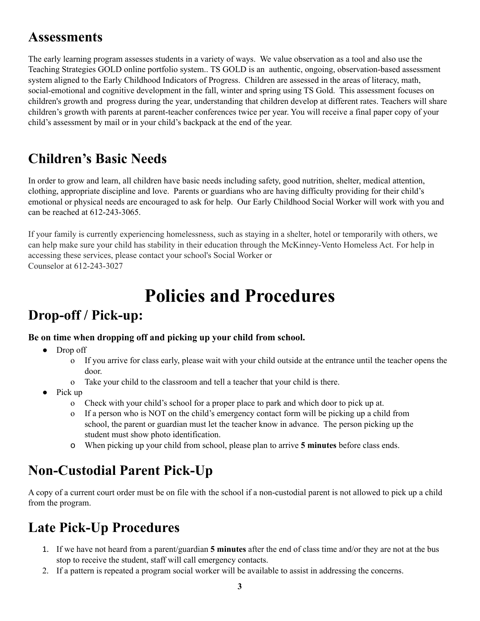### **Assessments**

The early learning program assesses students in a variety of ways. We value observation as a tool and also use the Teaching Strategies GOLD online portfolio system.. TS GOLD is an authentic, ongoing, observation-based assessment system aligned to the Early Childhood Indicators of Progress. Children are assessed in the areas of literacy, math, social-emotional and cognitive development in the fall, winter and spring using TS Gold. This assessment focuses on children's growth and progress during the year, understanding that children develop at different rates. Teachers will share children's growth with parents at parent-teacher conferences twice per year. You will receive a final paper copy of your child's assessment by mail or in your child's backpack at the end of the year.

### **Children's Basic Needs**

In order to grow and learn, all children have basic needs including safety, good nutrition, shelter, medical attention, clothing, appropriate discipline and love. Parents or guardians who are having difficulty providing for their child's emotional or physical needs are encouraged to ask for help. Our Early Childhood Social Worker will work with you and can be reached at 612-243-3065.

If your family is currently experiencing homelessness, such as staying in a shelter, hotel or temporarily with others, we can help make sure your child has stability in their education through the McKinney-Vento Homeless Act. For help in accessing these services, please contact your school's Social Worker or Counselor at 612-243-3027

# **Policies and Procedures**

# **Drop-off / Pick-up:**

### **Be on time when dropping off and picking up your child from school.**

- Drop off
	- o If you arrive for class early, please wait with your child outside at the entrance until the teacher opens the door.
	- o Take your child to the classroom and tell a teacher that your child is there.
- $\bullet$  Pick up
	- o Check with your child's school for a proper place to park and which door to pick up at.
	- o If a person who is NOT on the child's emergency contact form will be picking up a child from school, the parent or guardian must let the teacher know in advance. The person picking up the student must show photo identification.
	- o When picking up your child from school, please plan to arrive **5 minutes** before class ends.

# **Non-Custodial Parent Pick-Up**

A copy of a current court order must be on file with the school if a non-custodial parent is not allowed to pick up a child from the program.

# **Late Pick-Up Procedures**

- 1. If we have not heard from a parent/guardian **5 minutes** after the end of class time and/or they are not at the bus stop to receive the student, staff will call emergency contacts.
- 2. If a pattern is repeated a program social worker will be available to assist in addressing the concerns.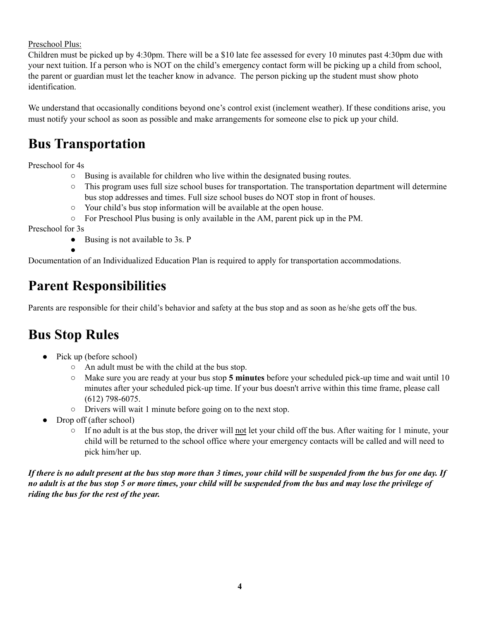#### Preschool Plus:

Children must be picked up by 4:30pm. There will be a \$10 late fee assessed for every 10 minutes past 4:30pm due with your next tuition. If a person who is NOT on the child's emergency contact form will be picking up a child from school, the parent or guardian must let the teacher know in advance. The person picking up the student must show photo identification.

We understand that occasionally conditions beyond one's control exist (inclement weather). If these conditions arise, you must notify your school as soon as possible and make arrangements for someone else to pick up your child.

### **Bus Transportation**

Preschool for 4s

- $\circ$  Busing is available for children who live within the designated busing routes.
- This program uses full size school buses for transportation. The transportation department will determine bus stop addresses and times. Full size school buses do NOT stop in front of houses.
- Your child's bus stop information will be available at the open house.
- $\circ$  For Preschool Plus busing is only available in the AM, parent pick up in the PM.

Preschool for 3s

● Busing is not available to 3s. P

Documentation of an Individualized Education Plan is required to apply for transportation accommodations.

### **Parent Responsibilities**

Parents are responsible for their child's behavior and safety at the bus stop and as soon as he/she gets off the bus.

### **Bus Stop Rules**

●

- Pick up (before school)
	- An adult must be with the child at the bus stop.
	- Make sure you are ready at your bus stop **5 minutes** before your scheduled pick-up time and wait until 10 minutes after your scheduled pick-up time. If your bus doesn't arrive within this time frame, please call (612) 798-6075.
	- Drivers will wait 1 minute before going on to the next stop.
- Drop off (after school)
	- $\circ$  If no adult is at the bus stop, the driver will not let your child off the bus. After waiting for 1 minute, your child will be returned to the school office where your emergency contacts will be called and will need to pick him/her up.

If there is no adult present at the bus stop more than 3 times, your child will be suspended from the bus for one day. If no adult is at the bus stop 5 or more times, your child will be suspended from the bus and may lose the privilege of *riding the bus for the rest of the year.*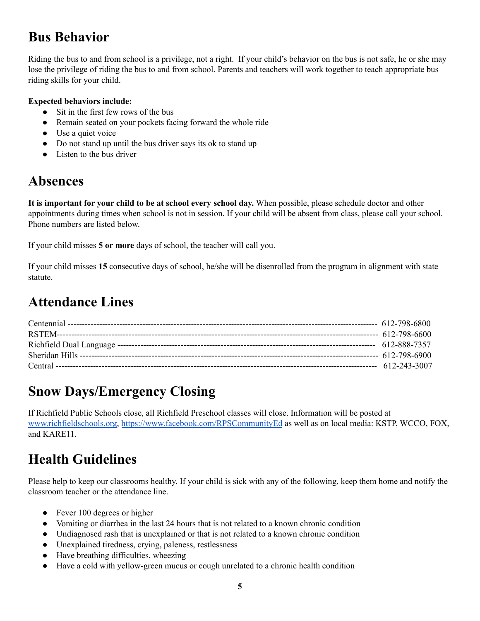# **Bus Behavior**

Riding the bus to and from school is a privilege, not a right. If your child's behavior on the bus is not safe, he or she may lose the privilege of riding the bus to and from school. Parents and teachers will work together to teach appropriate bus riding skills for your child.

#### **Expected behaviors include:**

- Sit in the first few rows of the bus
- Remain seated on your pockets facing forward the whole ride
- Use a quiet voice
- Do not stand up until the bus driver says its ok to stand up
- Listen to the bus driver

### **Absences**

**It is important for your child to be at school every school day.** When possible, please schedule doctor and other appointments during times when school is not in session. If your child will be absent from class, please call your school. Phone numbers are listed below.

If your child misses **5 or more** days of school, the teacher will call you.

If your child misses **15** consecutive days of school, he/she will be disenrolled from the program in alignment with state statute.

# **Attendance Lines**

# **Snow Days/Emergency Closing**

If Richfield Public Schools close, all Richfield Preschool classes will close. Information will be posted at [www.richfieldschools.org](http://www.richfieldschools.org), [https://www.facebook.com/RPSCommunityEd](https://www.facebook.com/RPSCommunityEd/) as well as on local media: KSTP, WCCO, FOX, and KARE11.

# **Health Guidelines**

Please help to keep our classrooms healthy. If your child is sick with any of the following, keep them home and notify the classroom teacher or the attendance line.

- Fever 100 degrees or higher
- Vomiting or diarrhea in the last 24 hours that is not related to a known chronic condition
- Undiagnosed rash that is unexplained or that is not related to a known chronic condition
- Unexplained tiredness, crying, paleness, restlessness
- Have breathing difficulties, wheezing
- Have a cold with yellow-green mucus or cough unrelated to a chronic health condition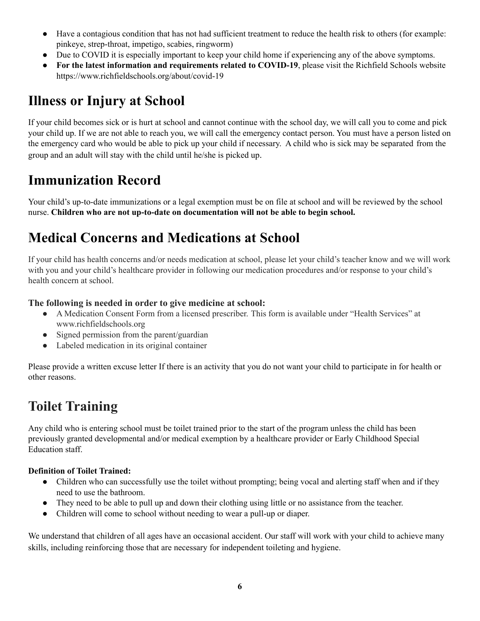- Have a contagious condition that has not had sufficient treatment to reduce the health risk to others (for example: pinkeye, strep-throat, impetigo, scabies, ringworm)
- Due to COVID it is especially important to keep your child home if experiencing any of the above symptoms.
- **For the latest information and requirements related to COVID-19**, please visit the Richfield Schools website https://www.richfieldschools.org/about/covid-19

# **Illness or Injury at School**

If your child becomes sick or is hurt at school and cannot continue with the school day, we will call you to come and pick your child up. If we are not able to reach you, we will call the emergency contact person. You must have a person listed on the emergency card who would be able to pick up your child if necessary. A child who is sick may be separated from the group and an adult will stay with the child until he/she is picked up.

# **Immunization Record**

Your child's up-to-date immunizations or a legal exemption must be on file at school and will be reviewed by the school nurse. **Children who are not up-to-date on documentation will not be able to begin school.**

# **Medical Concerns and Medications at School**

If your child has health concerns and/or needs medication at school, please let your child's teacher know and we will work with you and your child's healthcare provider in following our medication procedures and/or response to your child's health concern at school.

### **The following is needed in order to give medicine at school:**

- A Medication Consent Form from a licensed prescriber. This form is available under "Health Services" at www.richfieldschools.org
- Signed permission from the parent/guardian
- Labeled medication in its original container

Please provide a written excuse letter If there is an activity that you do not want your child to participate in for health or other reasons.

# **Toilet Training**

Any child who is entering school must be toilet trained prior to the start of the program unless the child has been previously granted developmental and/or medical exemption by a healthcare provider or Early Childhood Special Education staff.

### **Definition of Toilet Trained:**

- Children who can successfully use the toilet without prompting; being vocal and alerting staff when and if they need to use the bathroom.
- They need to be able to pull up and down their clothing using little or no assistance from the teacher.
- Children will come to school without needing to wear a pull-up or diaper.

We understand that children of all ages have an occasional accident. Our staff will work with your child to achieve many skills, including reinforcing those that are necessary for independent toileting and hygiene.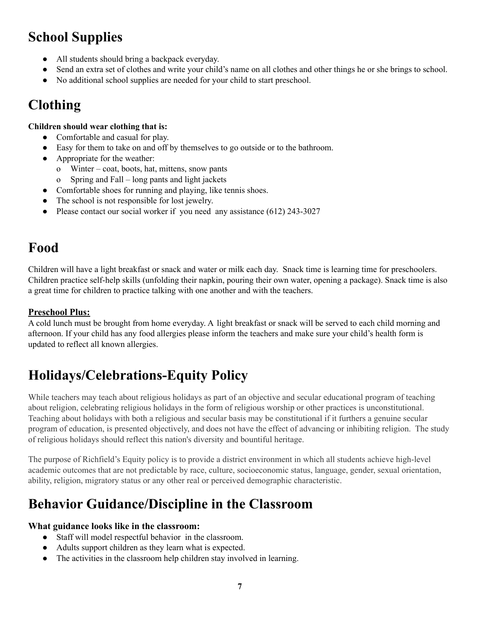# **School Supplies**

- All students should bring a backpack everyday.
- Send an extra set of clothes and write your child's name on all clothes and other things he or she brings to school.
- No additional school supplies are needed for your child to start preschool.

# **Clothing**

#### **Children should wear clothing that is:**

- Comfortable and casual for play.
- Easy for them to take on and off by themselves to go outside or to the bathroom.
- Appropriate for the weather:
	- o Winter coat, boots, hat, mittens, snow pants
	- Spring and Fall long pants and light jackets
- Comfortable shoes for running and playing, like tennis shoes.
- The school is not responsible for lost jewelry.
- Please contact our social worker if you need any assistance (612) 243-3027

# **Food**

Children will have a light breakfast or snack and water or milk each day. Snack time is learning time for preschoolers. Children practice self-help skills (unfolding their napkin, pouring their own water, opening a package). Snack time is also a great time for children to practice talking with one another and with the teachers.

### **Preschool Plus:**

A cold lunch must be brought from home everyday. A light breakfast or snack will be served to each child morning and afternoon. If your child has any food allergies please inform the teachers and make sure your child's health form is updated to reflect all known allergies.

# **Holidays/Celebrations-Equity Policy**

While teachers may teach about religious holidays as part of an objective and secular educational program of teaching about religion, celebrating religious holidays in the form of religious worship or other practices is unconstitutional. Teaching about holidays with both a religious and secular basis may be constitutional if it furthers a genuine secular program of education, is presented objectively, and does not have the effect of advancing or inhibiting religion. The study of religious holidays should reflect this nation's diversity and bountiful heritage.

The purpose of Richfield's Equity policy is to provide a district environment in which all students achieve high-level academic outcomes that are not predictable by race, culture, socioeconomic status, language, gender, sexual orientation, ability, religion, migratory status or any other real or perceived demographic characteristic.

# **Behavior Guidance/Discipline in the Classroom**

### **What guidance looks like in the classroom:**

- Staff will model respectful behavior in the classroom.
- Adults support children as they learn what is expected.
- The activities in the classroom help children stay involved in learning.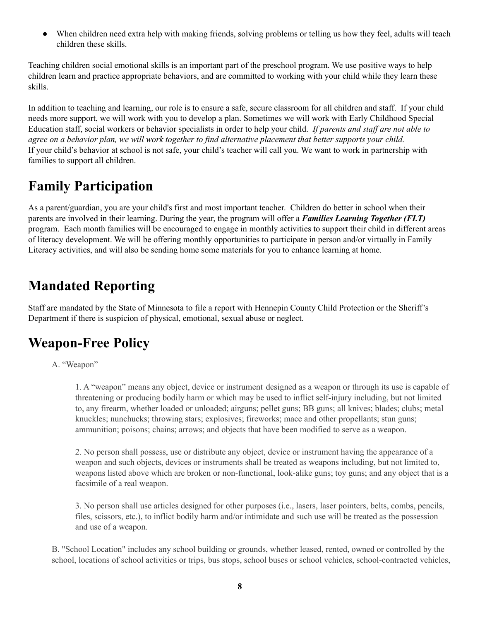• When children need extra help with making friends, solving problems or telling us how they feel, adults will teach children these skills.

Teaching children social emotional skills is an important part of the preschool program. We use positive ways to help children learn and practice appropriate behaviors, and are committed to working with your child while they learn these skills.

In addition to teaching and learning, our role is to ensure a safe, secure classroom for all children and staff. If your child needs more support, we will work with you to develop a plan. Sometimes we will work with Early Childhood Special Education staff, social workers or behavior specialists in order to help your child. *If parents and staf are not able to* agree on a behavior plan, we will work together to find alternative placement that better supports your child. If your child's behavior at school is not safe, your child's teacher will call you. We want to work in partnership with families to support all children.

# **Family Participation**

As a parent/guardian, you are your child's first and most important teacher. Children do better in school when their parents are involved in their learning. During the year, the program will offer a *Families Learning Together (FLT)* program. Each month families will be encouraged to engage in monthly activities to support their child in different areas of literacy development. We will be offering monthly opportunities to participate in person and/or virtually in Family Literacy activities, and will also be sending home some materials for you to enhance learning at home.

# **Mandated Reporting**

Staff are mandated by the State of Minnesota to file a report with Hennepin County Child Protection or the Sheriff's Department if there is suspicion of physical, emotional, sexual abuse or neglect.

# **Weapon-Free Policy**

#### A. "Weapon"

1. A "weapon" means any object, device or instrument designed as a weapon or through its use is capable of threatening or producing bodily harm or which may be used to inflict self-injury including, but not limited to, any firearm, whether loaded or unloaded; airguns; pellet guns; BB guns; all knives; blades; clubs; metal knuckles; nunchucks; throwing stars; explosives; fireworks; mace and other propellants; stun guns; ammunition; poisons; chains; arrows; and objects that have been modified to serve as a weapon.

2. No person shall possess, use or distribute any object, device or instrument having the appearance of a weapon and such objects, devices or instruments shall be treated as weapons including, but not limited to, weapons listed above which are broken or non-functional, look-alike guns; toy guns; and any object that is a facsimile of a real weapon.

3. No person shall use articles designed for other purposes (i.e., lasers, laser pointers, belts, combs, pencils, files, scissors, etc.), to inflict bodily harm and/or intimidate and such use will be treated as the possession and use of a weapon.

B. "School Location" includes any school building or grounds, whether leased, rented, owned or controlled by the school, locations of school activities or trips, bus stops, school buses or school vehicles, school-contracted vehicles,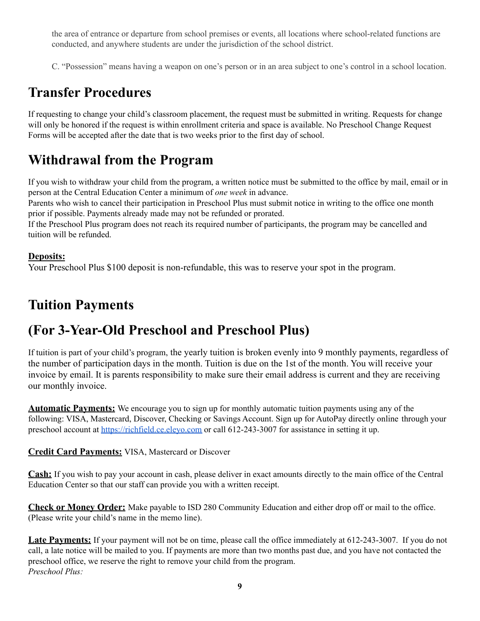the area of entrance or departure from school premises or events, all locations where school-related functions are conducted, and anywhere students are under the jurisdiction of the school district.

C. "Possession" means having a weapon on one's person or in an area subject to one's control in a school location.

# **Transfer Procedures**

If requesting to change your child's classroom placement, the request must be submitted in writing. Requests for change will only be honored if the request is within enrollment criteria and space is available. No Preschool Change Request Forms will be accepted after the date that is two weeks prior to the first day of school.

### **Withdrawal from the Program**

If you wish to withdraw your child from the program, a written notice must be submitted to the office by mail, email or in person at the Central Education Center a minimum of *one week* in advance.

Parents who wish to cancel their participation in Preschool Plus must submit notice in writing to the office one month prior if possible. Payments already made may not be refunded or prorated.

If the Preschool Plus program does not reach its required number of participants, the program may be cancelled and tuition will be refunded.

### **Deposits:**

Your Preschool Plus \$100 deposit is non-refundable, this was to reserve your spot in the program.

# **Tuition Payments**

# **(For 3-Year-Old Preschool and Preschool Plus)**

If tuition is part of your child's program, the yearly tuition is broken evenly into 9 monthly payments, regardless of the number of participation days in the month. Tuition is due on the 1st of the month. You will receive your invoice by email. It is parents responsibility to make sure their email address is current and they are receiving our monthly invoice.

**Automatic Payments:** We encourage you to sign up for monthly automatic tuition payments using any of the following: VISA, Mastercard, Discover, Checking or Savings Account. Sign up for AutoPay directly online through your preschool account at <https://richfield.ce.eleyo.com> or call 612-243-3007 for assistance in setting it up.

### **Credit Card Payments:** VISA, Mastercard or Discover

**Cash:** If you wish to pay your account in cash, please deliver in exact amounts directly to the main office of the Central Education Center so that our staff can provide you with a written receipt.

**Check or Money Order:** Make payable to ISD 280 Community Education and either drop off or mail to the office. (Please write your child's name in the memo line).

Late Payments: If your payment will not be on time, please call the office immediately at 612-243-3007. If you do not call, a late notice will be mailed to you. If payments are more than two months past due, and you have not contacted the preschool office, we reserve the right to remove your child from the program. *Preschool Plus:*